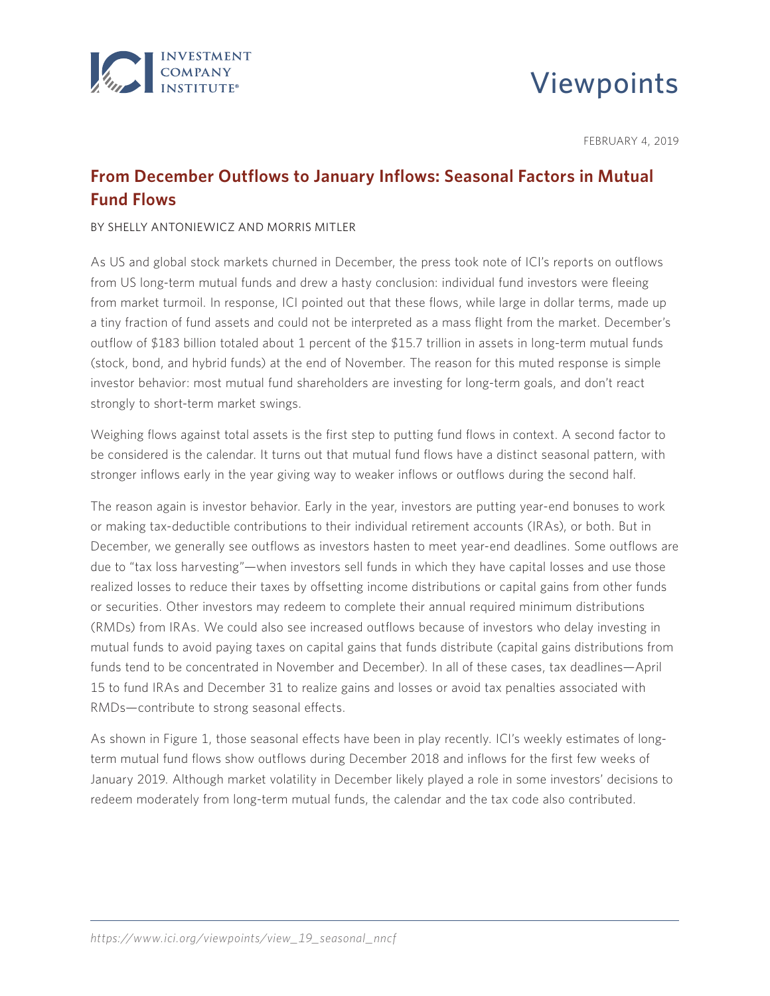

# Viewpoints

FEBRUARY 4, 2019

# **From December Outflows to January Inflows: Seasonal Factors in Mutual Fund Flows**

#### BY SHELLY ANTONIEWICZ AND MORRIS MITLER

As US and global stock markets churned in December, the press took note of ICI's reports on outflows from US long-term mutual funds and drew a hasty conclusion: individual fund investors were fleeing from market turmoil. In response, ICI pointed out that these flows, while large in dollar terms, made up a tiny fraction of fund assets and could not be interpreted as a mass flight from the market. December's outflow of \$183 billion totaled about 1 percent of the \$15.7 trillion in assets in long-term mutual funds (stock, bond, and hybrid funds) at the end of November. The reason for this muted response is simple investor behavior: most mutual fund shareholders are investing for long-term goals, and don't react strongly to short-term market swings.

Weighing flows against total assets is the first step to putting fund flows in context. A second factor to be considered is the calendar. It turns out that mutual fund flows have a distinct seasonal pattern, with stronger inflows early in the year giving way to weaker inflows or outflows during the second half.

The reason again is investor behavior. Early in the year, investors are putting year-end bonuses to work or making tax-deductible contributions to their individual retirement accounts (IRAs), or both. But in December, we generally see outflows as investors hasten to meet year-end deadlines. Some outflows are due to "tax loss harvesting"—when investors sell funds in which they have capital losses and use those realized losses to reduce their taxes by offsetting income distributions or capital gains from other funds or securities. Other investors may redeem to complete their annual required minimum distributions (RMDs) from IRAs. We could also see increased outflows because of investors who delay investing in mutual funds to avoid paying taxes on capital gains that funds distribute (capital gains distributions from funds tend to be concentrated in November and December). In all of these cases, tax deadlines—April 15 to fund IRAs and December 31 to realize gains and losses or avoid tax penalties associated with RMDs—contribute to strong seasonal effects.

As shown in Figure 1, those seasonal effects have been in play recently. ICI's weekly estimates of longterm mutual fund flows show outflows during December 2018 and inflows for the first few weeks of January 2019. Although market volatility in December likely played a role in some investors' decisions to redeem moderately from long-term mutual funds, the calendar and the tax code also contributed.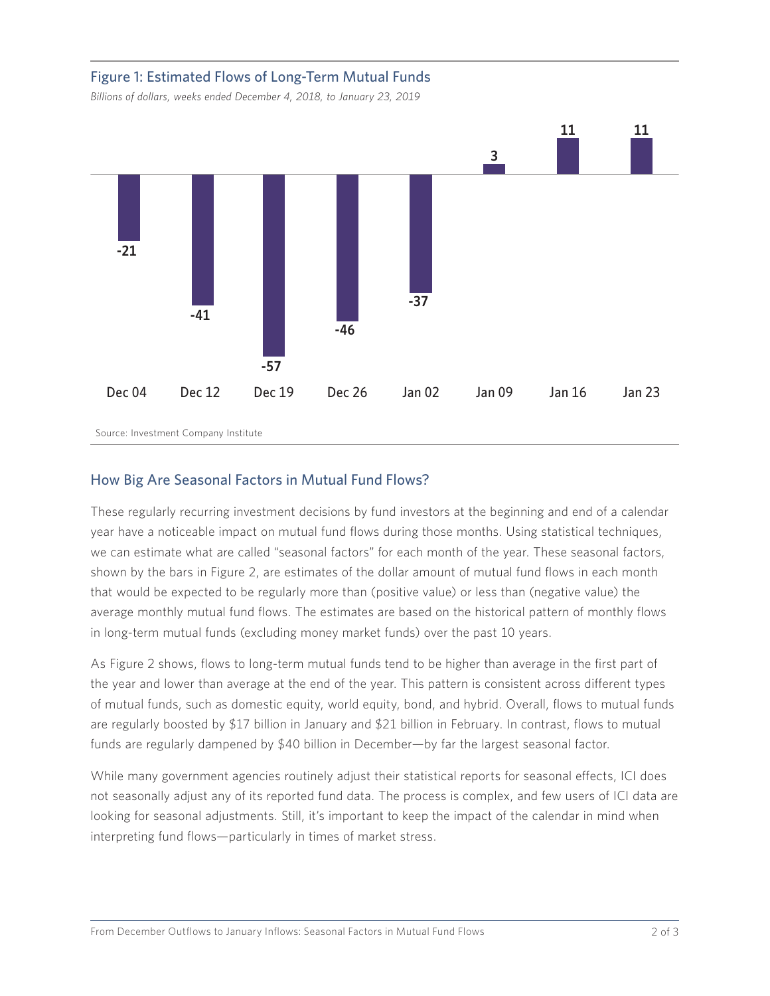## Figure 1: Estimated Flows of Long-Term Mutual Funds

*Billions of dollars, weeks ended December 4, 2018, to January 23, 2019*



### How Big Are Seasonal Factors in Mutual Fund Flows?

These regularly recurring investment decisions by fund investors at the beginning and end of a calendar year have a noticeable impact on mutual fund flows during those months. Using statistical techniques, we can estimate what are called "seasonal factors" for each month of the year. These seasonal factors, shown by the bars in Figure 2, are estimates of the dollar amount of mutual fund flows in each month that would be expected to be regularly more than (positive value) or less than (negative value) the average monthly mutual fund flows. The estimates are based on the historical pattern of monthly flows in long-term mutual funds (excluding money market funds) over the past 10 years.

As Figure 2 shows, flows to long-term mutual funds tend to be higher than average in the first part of the year and lower than average at the end of the year. This pattern is consistent across different types of mutual funds, such as domestic equity, world equity, bond, and hybrid. Overall, flows to mutual funds are regularly boosted by \$17 billion in January and \$21 billion in February. In contrast, flows to mutual funds are regularly dampened by \$40 billion in December—by far the largest seasonal factor.

While many government agencies routinely adjust their statistical reports for seasonal effects, ICI does not seasonally adjust any of its reported fund data. The process is complex, and few users of ICI data are looking for seasonal adjustments. Still, it's important to keep the impact of the calendar in mind when interpreting fund flows—particularly in times of market stress.